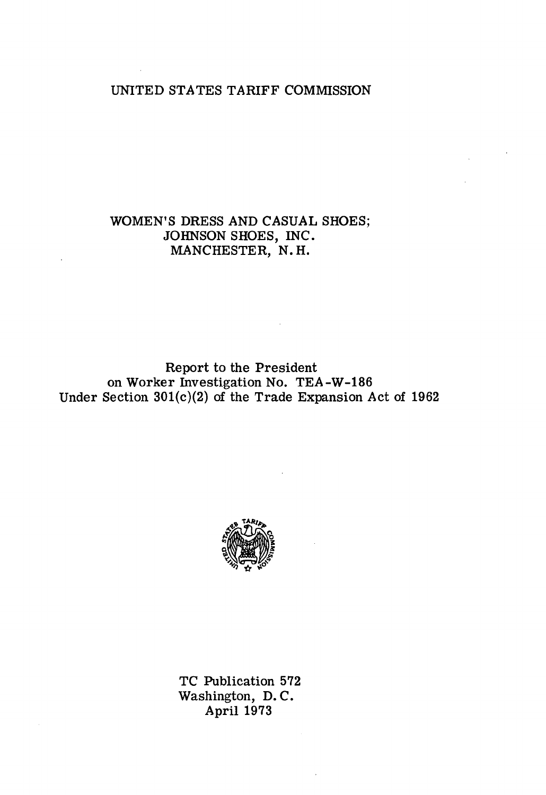### UNITED STATES TARIFF COMMISSION

## WOMEN'S DRESS AND CASUAL SHOES; JOHNSON SHOES, INC. MANCHESTER, N. H.

Report to the President on Worker Investigation No. TEA-W-186 Under Section 301(c)(2) of the Trade Expansion Act of 1962



TC Publication 572 Washington, D. C. April 1973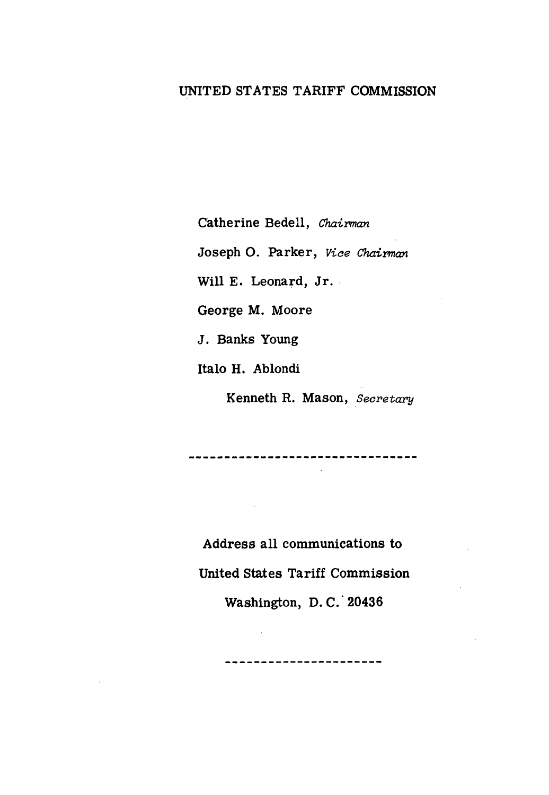# UNITED STATES TARIFF COMMISSION

Catherine Bedell, Chairman

Joseph O. Parker, *Vice Chairman* 

Will E. Leonard, Jr.

George M. Moore

J. Banks Young

Italo H. Ablondi

Kenneth R. Mason, *Secretary* 

 $\mathbb{R}$ 

.................................

Address all communications to United States Tariff Commission Washington, D. C. 20436

-----------------------

 $\sim 10$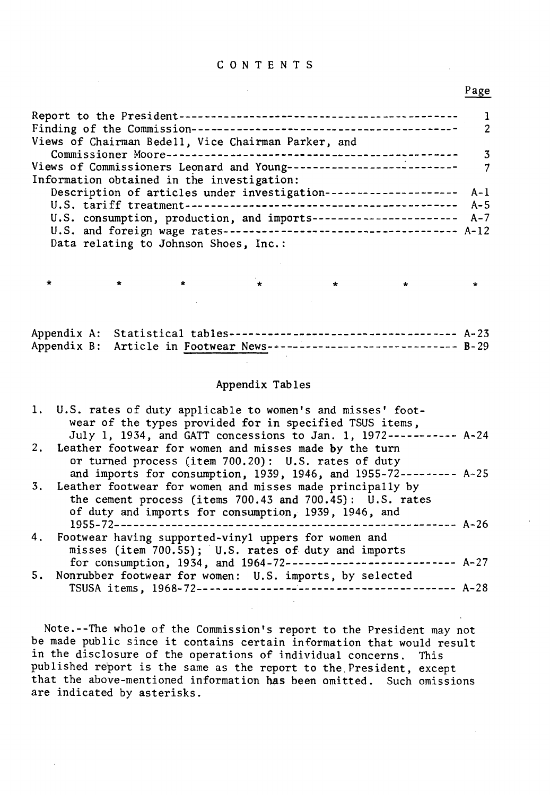#### C 0 N T E N T S

 $\bar{z}$ 

#### Page

| Views of Chairman Bedell, Vice Chairman Parker, and                   |  |
|-----------------------------------------------------------------------|--|
|                                                                       |  |
| Views of Commissioners Leonard and Young--------------------------- 7 |  |
| Information obtained in the investigation:                            |  |
| Description of articles under investigation-------------------- A-1   |  |
|                                                                       |  |
| U.S. consumption, production, and imports---------------------- A-7   |  |
|                                                                       |  |
| Data relating to Johnson Shoes, Inc.:                                 |  |

| Appendix B: Article in Footwear News----------------------------- B-29 |  |
|------------------------------------------------------------------------|--|

\* \* \* \* \* \* \*

#### Appendix Tables

| 1. U.S. rates of duty applicable to women's and misses' foot-<br>wear of the types provided for in specified TSUS items,                                                               |  |
|----------------------------------------------------------------------------------------------------------------------------------------------------------------------------------------|--|
| July 1, 1934, and GATT concessions to Jan. 1, 1972----------- A-24<br>2. Leather footwear for women and misses made by the turn<br>or turned process (item 700.20): U.S. rates of duty |  |
| and imports for consumption, 1939, 1946, and 1955-72--------- A-25                                                                                                                     |  |
| 3. Leather footwear for women and misses made principally by<br>the cement process (items 700.43 and 700.45): U.S. rates<br>of duty and imports for consumption, 1939, 1946, and       |  |
| 4. Footwear having supported-vinyl uppers for women and                                                                                                                                |  |
| misses (item 700.55); U.S. rates of duty and imports                                                                                                                                   |  |
| for consumption, 1934, and 1964-72--------------------------- A-27                                                                                                                     |  |
| 5. Nonrubber footwear for women: U.S. imports, by selected                                                                                                                             |  |
| TSUSA items, 1968-72---                                                                                                                                                                |  |

Note.--The whole of the Commission's report to the President may not be made public since it contains certain information that would result in the disclosure of the operations of individual concerns. This published report is the same as the report to the President, except that the above-mentioned information has been omitted. Such omissions are indicated by asterisks.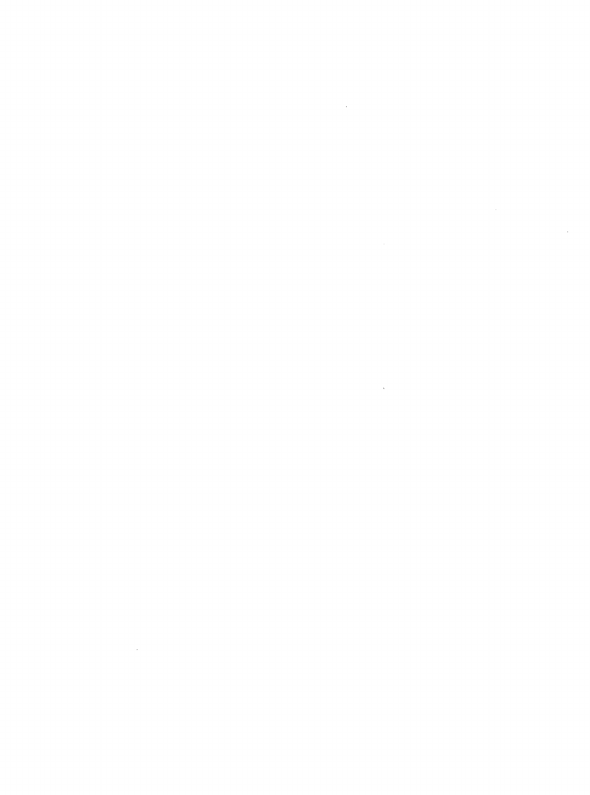$\label{eq:2.1} \frac{1}{\sqrt{2\pi}}\int_{0}^{\infty}\frac{1}{\sqrt{2\pi}}\left(\frac{1}{\sqrt{2\pi}}\right)^{2\alpha} \frac{1}{\sqrt{2\pi}}\int_{0}^{\infty}\frac{1}{\sqrt{2\pi}}\frac{1}{\sqrt{2\pi}}\frac{1}{\sqrt{2\pi}}\frac{1}{\sqrt{2\pi}}\frac{1}{\sqrt{2\pi}}\frac{1}{\sqrt{2\pi}}\frac{1}{\sqrt{2\pi}}\frac{1}{\sqrt{2\pi}}\frac{1}{\sqrt{2\pi}}\frac{1}{\sqrt{2\pi}}\frac{1}{\sqrt{2\pi}}\frac{$ 

 $\label{eq:2.1} \frac{1}{\sqrt{2\pi}}\int_{0}^{\infty}\frac{1}{\sqrt{2\pi}}\left(\frac{1}{\sqrt{2\pi}}\right)^{2\alpha} \frac{1}{\sqrt{2\pi}}\int_{0}^{\infty}\frac{1}{\sqrt{2\pi}}\left(\frac{1}{\sqrt{2\pi}}\right)^{\alpha} \frac{1}{\sqrt{2\pi}}\frac{1}{\sqrt{2\pi}}\int_{0}^{\infty}\frac{1}{\sqrt{2\pi}}\frac{1}{\sqrt{2\pi}}\frac{1}{\sqrt{2\pi}}\frac{1}{\sqrt{2\pi}}\frac{1}{\sqrt{2\pi}}\frac{1}{\sqrt{2\$ 

 $\label{eq:2.1} \frac{1}{\sqrt{2}}\left(\frac{1}{\sqrt{2}}\right)^{2} \left(\frac{1}{\sqrt{2}}\right)^{2} \left(\frac{1}{\sqrt{2}}\right)^{2} \left(\frac{1}{\sqrt{2}}\right)^{2} \left(\frac{1}{\sqrt{2}}\right)^{2} \left(\frac{1}{\sqrt{2}}\right)^{2} \left(\frac{1}{\sqrt{2}}\right)^{2} \left(\frac{1}{\sqrt{2}}\right)^{2} \left(\frac{1}{\sqrt{2}}\right)^{2} \left(\frac{1}{\sqrt{2}}\right)^{2} \left(\frac{1}{\sqrt{2}}\right)^{2} \left(\$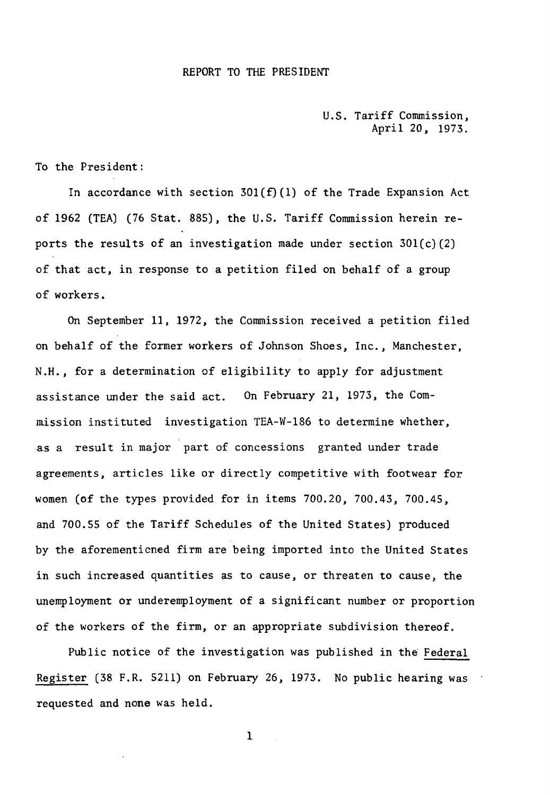#### REPORT TO THE PRESIDENT

U.S. Tariff Commission, April 20, 1973.

To the President:

In accordance with section  $301(f)(1)$  of the Trade Expansion Act of 1962 (TEA) (76 Stat. 885), the U.S. Tariff Commission herein reports the results of an investigation made under section  $301(c)(2)$ of that act, in response to a petition filed on behalf of a group of workers.

On September 11, 1972, the Commission received a petition filed on behalf of the former workers of Johnson Shoes, Inc., Manchester, N.H., for a determination of eligibility to apply for adjustment assistance under the said act. On February 21, 1973, the Commission instituted investigation TEA-W-186 to determine whether, as a result in major part of concessions granted under trade agreements, articles like or directly competitive with footwear for women (of the types provided for in items 700.20, 700.43, 700.45, and 700.55 of the Tariff Schedules of the United States) produced by the aforementicned firm are being imported into the United States in such increased quantities as to cause, or threaten to cause, the unemployment or underemployment of a significant number or proportion of the workers of the firm, or an appropriate subdivision thereof.

Public notice of the investigation was published in the Federal Register (38 F.R. 5211) on February 26, 1973. No public hearing was requested and none was held.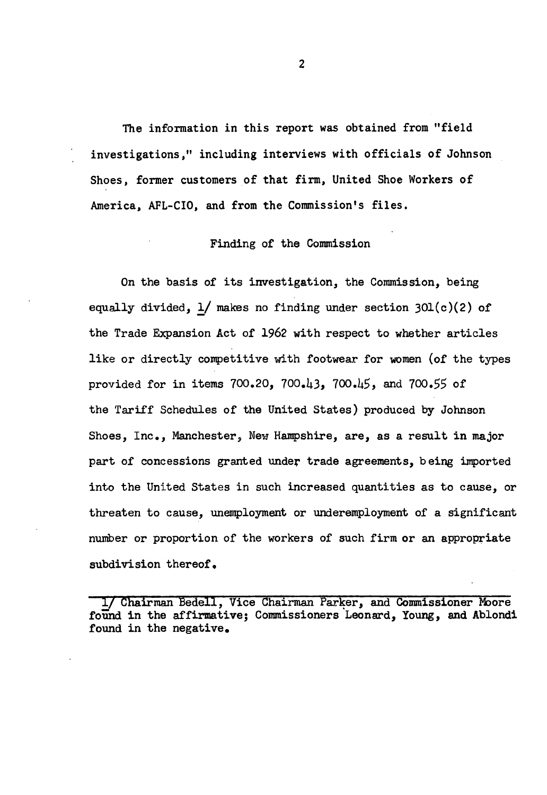The information in this report was obtained from "field investigations," including interviews with officials of Johnson Shoes, former customers of that firm, United Shoe Workers of America, AFL-CIO, and from the Commission's files.

#### Finding of the Commission

On the basis of its investigation, the Commission, being equally divided,  $1/$  makes no finding under section  $301(c)(2)$  of the Trade Expansion Act of 1962 with respect to whether articles like or directly competitive with footwear for women (of the types provided for in items 700.20, 700.43, 700.45, and 700.55 of the Tariff Schedules of the United States) produced by Johnson Shoes, Inc., Manchester, New Hampshire, are, as a result in major part of concessions granted under trade agreements, being imported into the United States in such increased quantities as to cause, or threaten to cause, unemployment or underemployment of a significant number or proportion of the workers of such firm or an appropriate subdivision thereof.

1/ Chairman Bedell, Vice Chairman Parker, and Commissioner Moore found in the affirmative; Commissioners Leonard, Young, and Ablondi found in the negative.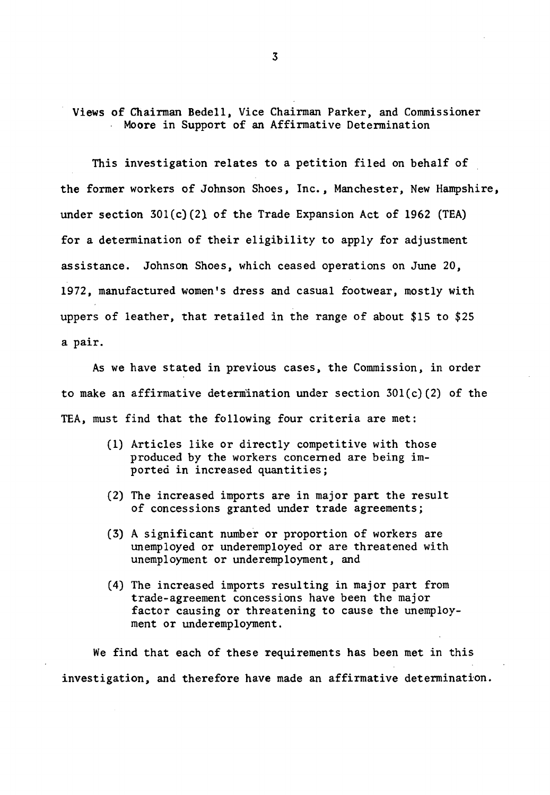Views of Chairman Bedell, Vice Chairman Parker, and Commissioner . Moore in Support of an Affirmative Determination

This investigation relates to a petition filed on behalf of the former workers of Johnson Shoes, Inc., Manchester, New Hampshire, under section  $301(c)(2)$  of the Trade Expansion Act of 1962 (TEA) for a determination of their eligibility to apply for adjustment assistance. Johnson Shoes, which ceased operations on June 20, 1972, manufactured women's dress and casual footwear, mostly with uppers of leather, that retailed in the range of about \$15 to \$25 a pair.

As we have stated in previous cases, the Commission, in order to make an affirmative determination under section  $301(c)(2)$  of the TEA, must find that the following four criteria are met:

- (1) Articles like or directly competitive with those produced by the workers concerned are being imported in increased quantities;
- (2) The increased imports are in major part the result of concessions granted under trade agreements;
- (3) A significant number or proportion of workers are unemployed or underemployed or are threatened with unemployment or underemployment, and
- (4) The increased imports resulting in major part from trade-agreement concessions have been the major factor causing or threatening to cause the unemployment or underemployment.

We find that each of these requirements has been met in this investigation, and therefore have made an affirmative determination.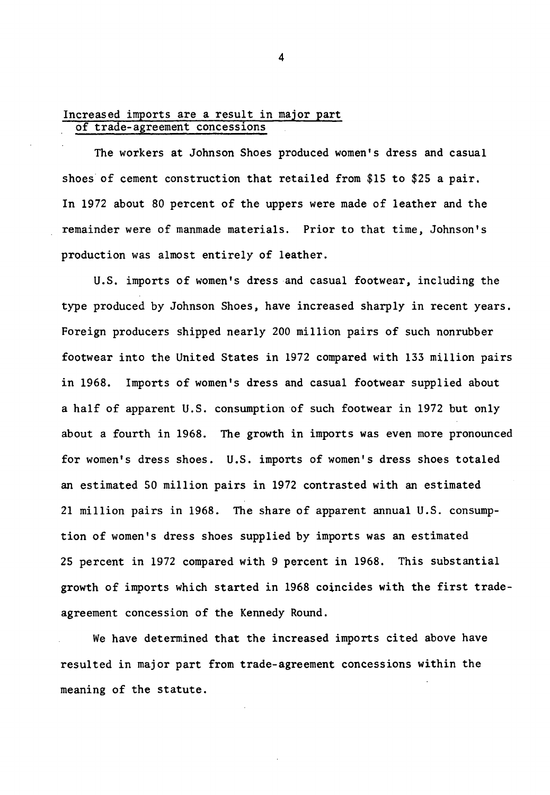#### Increased imports are a result in major part of trade-agreement concessions

The workers at Johnson Shoes produced women's dress and casual shoes of cement construction that retailed from \$15 to \$25 a pair. In 1972 about 80 percent of the uppers were made of leather and the remainder were of manmade materials. Prior to that time, Johnson's production was almost entirely of leather.

U.S. imports of women's dress and casual footwear, including the type produced by Johnson Shoes, have increased sharply in recent years. Foreign producers shipped nearly 200 million pairs of such nonrubber footwear into the United States in 1972 compared with 133 million pairs in 1968. Imports of women's dress and casual footwear supplied about a half of apparent U.S. consumption of such footwear in 1972 but only about a fourth in 1968. The growth in imports was even more pronounced for women's dress shoes. U.S. imports of women's dress shoes totaled an estimated SO million pairs in 1972 contrasted with an estimated 21 million pairs in 1968. The share of apparent annual U.S. consumption of women's dress shoes supplied by imports was an estimated 25 percent in 1972 compared with 9 percent in 1968. This substantial growth of imports which started in 1968 coincides with the first tradeagreement concession of the Kennedy Round.

We have determined that the increased imports cited above have resulted in major part from trade-agreement concessions within the meaning of the statute.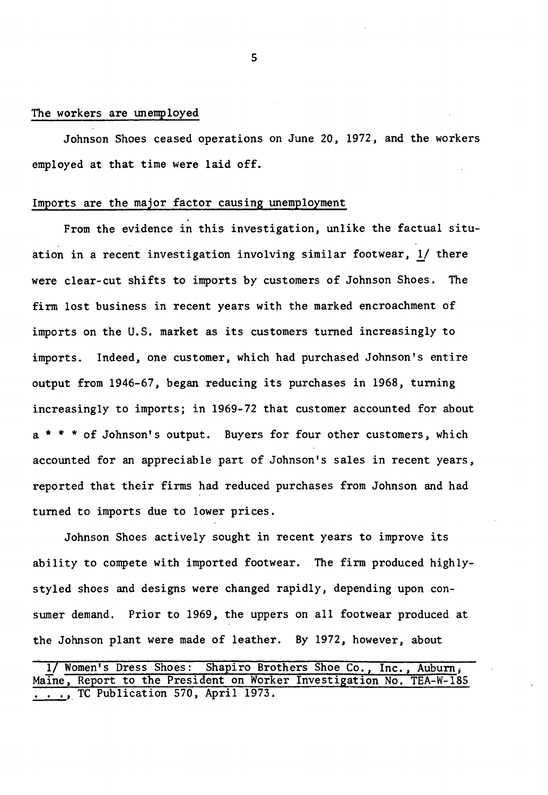#### The workers are unemployed

Johnson Shoes ceased operations on June 20, 1972, and the workers employed at that time were laid off.

#### Imports are the major factor causing unemployment

From the evidence in this investigation, unlike the factual situation in a recent investigation involving similar footwear, 1/ there were clear-cut shifts to imports by customers of Johnson Shoes. The firm lost business in recent years with the marked encroachment of imports on the U.S. market as its customers turned increasingly to imports. Indeed, one customer, which had purchased Johnson's entire output from 1946-67, began reducing its purchases in 1968, turning increasingly to imports; in 1969-72 that customer accounted for about a \* \* \* of Johnson's output. Buyers for four other customers, which accounted for an appreciable part of Johnson's sales in recent years, reported that their firms had reduced purchases from Johnson and had turned to imports due to lower prices.

Johnson Shoes actively sought in recent years to improve its ability to compete with imported footwear. The firm produced highlystyled shoes and designs were changed rapidly, depending upon consumer demand. Prior to 1969, the uppers on all footwear produced at the Johnson plant were made of leather. By 1972, however, about

<sup>1/</sup> Women's Dress Shoes: Shapiro Brothers Shoe Co., Inc., Auburn, Maine, Report to the President on Worker Investigation No. TEA-W-185<br>..., TC Publication 570, April 1973.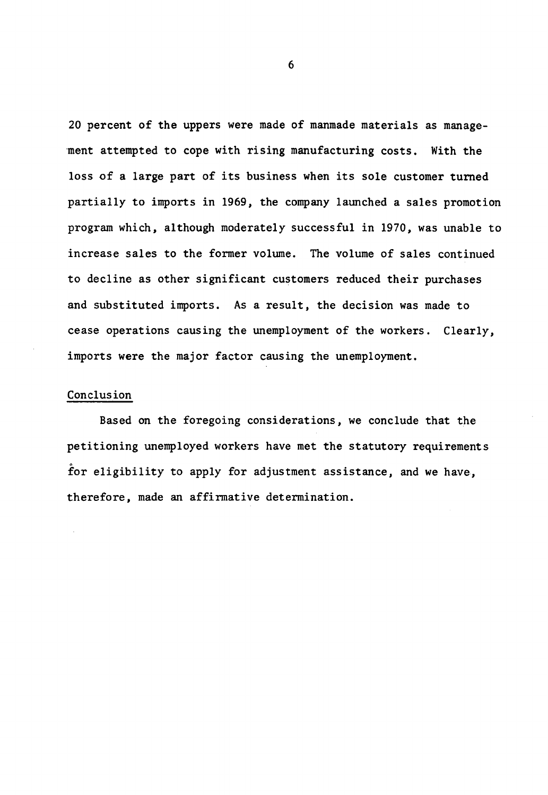20 percent of the uppers were made of manmade materials as manage- ·ment attempted to cope with rising manufacturing costs. With the loss of a large part of its business when its sole customer turned partially to imports in 1969, the company launched a sales promotion program which, although moderately successful in 1970, was unable to increase sales to the former volume. The volume of sales continued to decline as other significant customers reduced their purchases and substituted imports. As a result, the decision was made to cease operations causing the unemployment of the workers. Clearly, imports were the major factor causing the unemployment.

#### Conclusion

Based on the foregoing considerations, we conclude that the petitioning unemployed workers have met the statutory requirements ۲۳<br>م  $\hat{\mathbf{f}}$ or eligibility to apply for adjustment assistance, and we have, therefore, made an affirmative determination.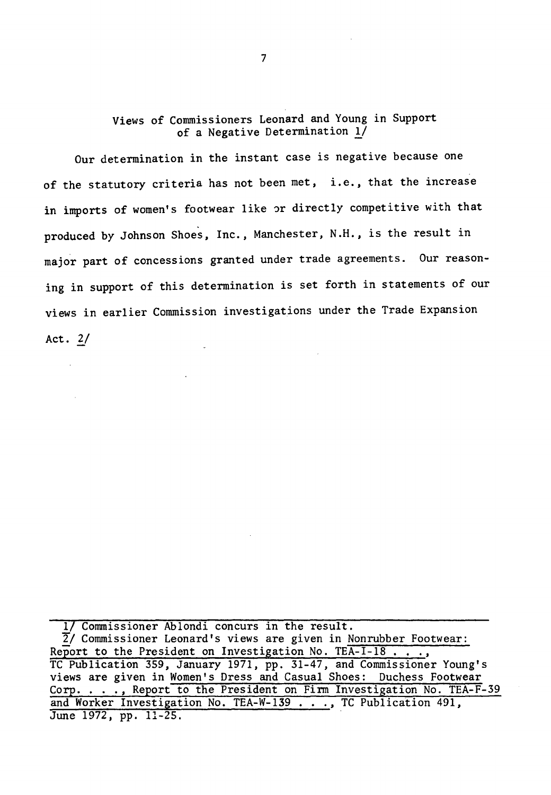Views of Commissioners Leonard and Young in Support of a Negative Determination 1/

Our determination in the instant case is negative because one of the statutory criteria has not been met, i.e., that the increase in imports of women's footwear like or directly competitive with that produced by Johnson Shoes, Inc., Manchester, N.H., is the result in major part of concessions granted under trade agreements. Our reasoning in support of this determination is set forth in statements of our views in earlier Commission investigations under the Trade Expansion Act. 2/

1/ Commissioner Ablondi concurs in the result.<br>2/ Commissioner Leonard's views are given in Nonrubber Footwear: Report to the President on Investigation No. TEA-I-18... TC Publication 359, January 1971, pp. 31-47, and Commissioner Young's views are given in Women's Dress and Casual Shoes: Duchess Footwear Corp. . . ., Report to the President on Firm Investigation No. TEA-F-39 and Worker Investigation No. TEA-W-139 . . ., TC Publication 491, June 1972, pp. 11-25. ·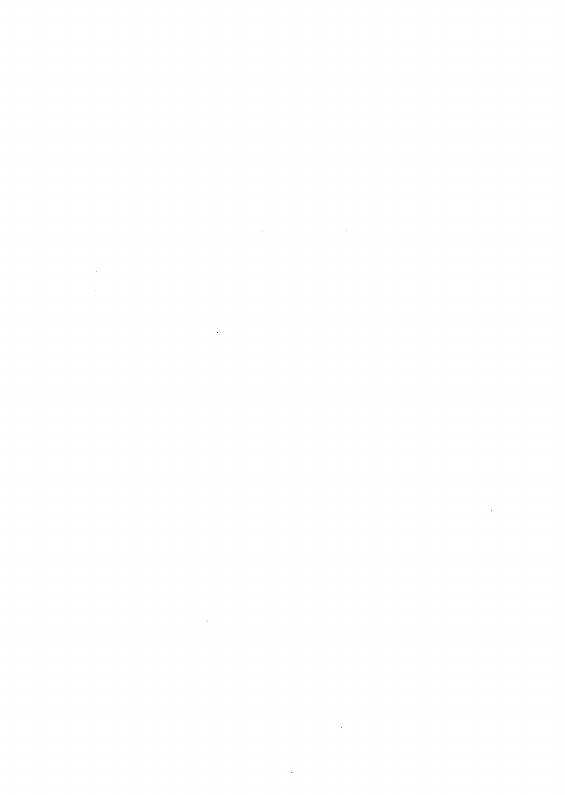$\label{eq:2.1} \frac{1}{\sqrt{2}}\left(\frac{1}{\sqrt{2}}\right)^{2} \left(\frac{1}{\sqrt{2}}\right)^{2} \left(\frac{1}{\sqrt{2}}\right)^{2} \left(\frac{1}{\sqrt{2}}\right)^{2} \left(\frac{1}{\sqrt{2}}\right)^{2} \left(\frac{1}{\sqrt{2}}\right)^{2} \left(\frac{1}{\sqrt{2}}\right)^{2} \left(\frac{1}{\sqrt{2}}\right)^{2} \left(\frac{1}{\sqrt{2}}\right)^{2} \left(\frac{1}{\sqrt{2}}\right)^{2} \left(\frac{1}{\sqrt{2}}\right)^{2} \left(\$ 

 $\mathcal{L}^{\text{max}}_{\text{max}}$  $\mathcal{L}^{\text{max}}_{\text{max}}$  and  $\mathcal{L}^{\text{max}}_{\text{max}}$ 

 $\label{eq:2.1} \frac{1}{\sqrt{2}}\int_{\mathbb{R}^3}\frac{1}{\sqrt{2}}\left(\frac{1}{\sqrt{2}}\right)^2\frac{1}{\sqrt{2}}\left(\frac{1}{\sqrt{2}}\right)^2\frac{1}{\sqrt{2}}\left(\frac{1}{\sqrt{2}}\right)^2\frac{1}{\sqrt{2}}\left(\frac{1}{\sqrt{2}}\right)^2.$ 

 $\label{eq:2.1} \frac{1}{\sqrt{2}}\int_{\mathbb{R}^3}\frac{1}{\sqrt{2}}\left(\frac{1}{\sqrt{2}}\right)^2\frac{1}{\sqrt{2}}\left(\frac{1}{\sqrt{2}}\right)^2\frac{1}{\sqrt{2}}\left(\frac{1}{\sqrt{2}}\right)^2\frac{1}{\sqrt{2}}\left(\frac{1}{\sqrt{2}}\right)^2.$ 

 $\mathcal{L}^{\text{max}}_{\text{max}}$  and  $\mathcal{L}^{\text{max}}_{\text{max}}$ 

 $\hat{\mathcal{L}}$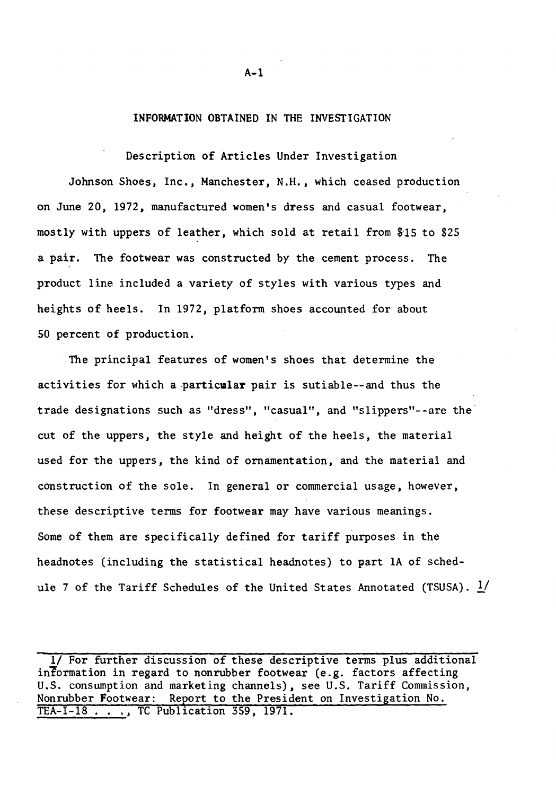#### INFORMATION OBTAINED IN THE INVESTIGATION

Description of Articles Under Investigation Johnson Shoes, Inc., Manchester, N.H., which ceased production on June 20, 1972, manufactured women's dress and casual footwear, mostly with uppers of leather, which sold at retail from \$15 to \$25 a pair. The footwear was constructed by the cement process. The product line included a variety of styles with various types and heights of heels. In 1972, platform shoes accounted for about 50 percent of production.

The principal features of women's shoes that determine the activities for which a particwlar pair is sutiable--and thus the trade designations such as "dress", "casual", and "slippers"--are the· cut of the uppers, the style and height of the heels, the material used for the uppers, the kind of ornamentation, and the material and construction of the sole. In general or commercial usage, however, these descriptive terms for footwear may have various meanings. Some of them are specifically defined for tariff purposes in the headnotes (including the statistical headnotes) to part lA of schedule 7 of the Tariff Schedules of the United States Annotated (TSUSA).  $\frac{1}{2}$ 

1/ For further discussion of these descriptive terms plus additional information in regard to nonrubber footwear (e.g. factors affecting U.S. consumption and marketing channels), see U.S. Tariff Commission, Nonrubber Footwear: Report to the President on Investigation No. TEA-I-18 .. *• ,* TC Publication 359, 1971.

 $A-1$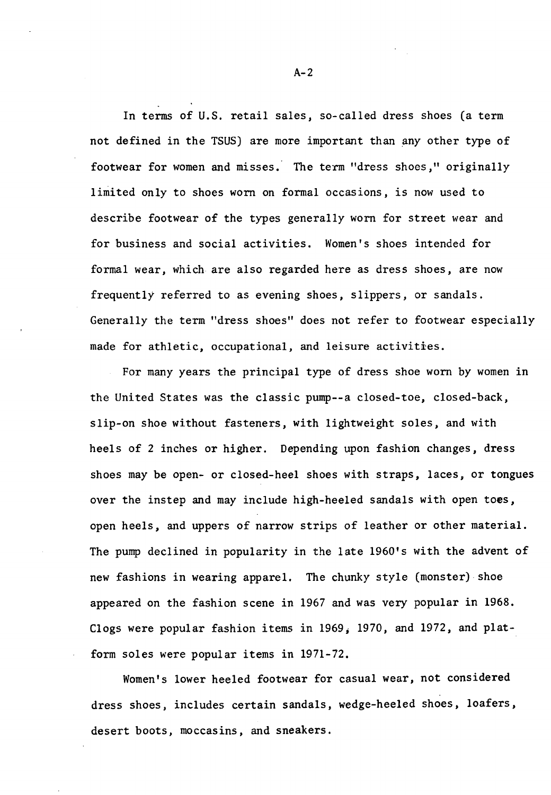In terms of U.S. retail sales, so-called dress shoes (a term not defined in the TSUS) are more important than any other type of footwear for women and misses. The term "dress shoes," originally limited only to shoes worn on formal occasions, is now used to describe footwear of the types generally worn for street wear and for business and social activities. Women's shoes intended for formal wear, which are also regarded here as dress shoes, are now frequently referred to as evening shoes, slippers, or sandals. Generally the term "dress shoes" does not refer to footwear especially made for athletic, occupational, and leisure activities.

For many years the principal type of dress shoe worn by women in the United States was the classic pump--a closed-toe, closed-back, slip-on shoe without fasteners, with lightweight soles, and with heels of 2 inches or higher. Depending upon fashion changes, dress shoes may be open- or closed-heel shoes with straps, laces, or tongues over the instep and may include high-heeled sandals with open toes, open heels, and uppers of narrow strips of leather or other material. The pump declined in popularity in the late 1960's with the advent of new fashions in wearing apparel. The chunky style (monster) shoe appeared on the fashion scene in 1967 and was very popular in 1968. Clogs were popular fashion items in 1969; 1970, and 1972, and platform soles were popular items in 1971-72.

Women's lower heeled footwear for casual wear, not considered dress shoes, includes certain sandals, wedge-heeled shoes, loafers, desert boots, moccasins, and sneakers.

 $A - 2$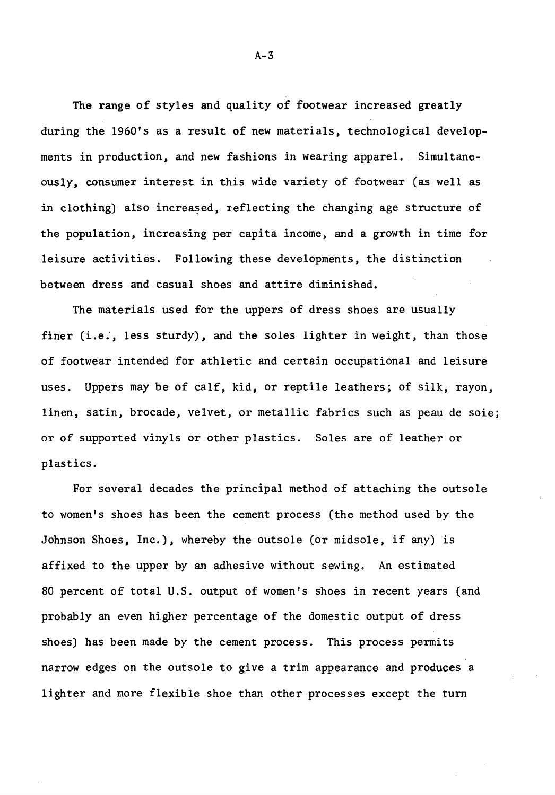The range of styles and quality of footwear increased greatly during the 1960's as a result of new materials, technological developments in production, and new fashions in wearing apparel. Simultaneously, consumer interest in this wide variety of footwear (as well as in clothing) also increased, reflecting the changing age structure of the population, increasing per capita income, and a growth in time for leisure activities. Following these developments, the distinction between dress and casual shoes and attire diminished.

The materials used for the uppers of dress shoes are usually finer (i.e., less sturdy), and the soles lighter in weight, than those of footwear intended for athletic and certain occupational and leisure uses. Uppers may be of calf, kid, or reptile leathers; of silk, rayon, linen, satin, brocade, velvet, or metallic fabrics such as peau de soie; or of supported vinyls or other plastics. Soles are of leather or plastics.

For several decades the principal method of attaching the outsole to women's shoes has been the cement process (the method used by the Johnson Shoes, Inc.), whereby the outsole (or midsole, if any) is affixed to the upper by an adhesive without sewing. An estimated 80 percent of total U.S. output of women's shoes in recent years (and probably an even higher percentage of the domestic output of dress shoes) has been made by the cement process. This process permits narrow edges on the outsole to give a trim appearance and produces a lighter and more flexible shoe than other processes except the turn

 $A-3$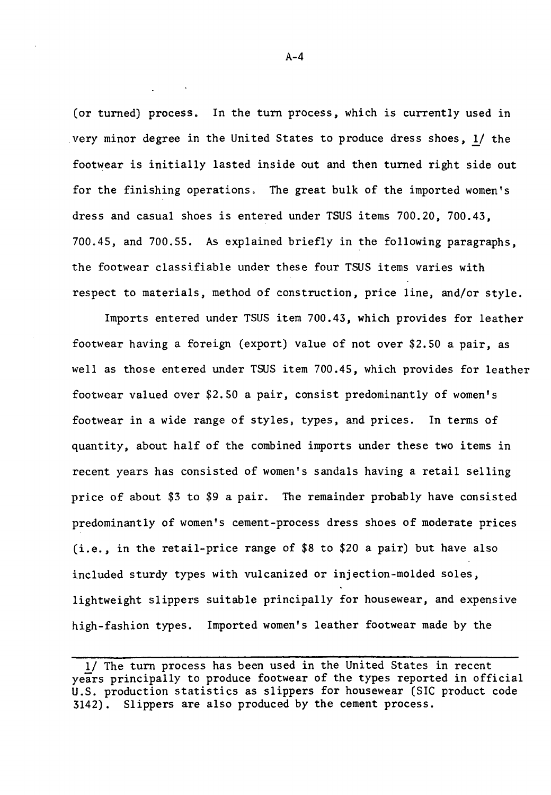(or turned) process. In the turn process, which is currently used in very minor degree in the United States to produce dress shoes, !/ the footwear is initially lasted inside out and then turned right side out for the finishing operations. The great bulk of the imported women's dress and casual shoes is entered under TSUS items 700.20, 700.43, 700.45, and 700.55. As explained briefly in the following paragraphs, the footwear classifiable under these four TSUS items varies with respect to materials, method of construction, price line, and/or style.

Imports entered under TSUS item 700.43, which provides for leather footwear having a foreign (export) value of not over \$2.50 a pair, as well as those entered under TSUS item 700.45, which provides for leather footwear valued over \$2.50 a pair, consist predominantly of women's footwear in a wide range of styles, types, and prices. In terms of quantity, about half of the combined imports under these two items in recent years has consisted of women's sandals having a retail selling price of about \$3 to \$9 a pair. The remainder probably have consisted predominantly of women's cement-process dress shoes of moderate prices (i.e., in the retail-price range of \$8 to \$20 a pair) but have also included sturdy types with vulcanized or injection-molded soles, lightweight slippers suitable principally for housewear, and expensive high-fashion types. Imported women's leather footwear made by the

 $A - 4$ 

<sup>1/</sup> The turn process has been used in the United States in recent years principally to produce footwear of the types reported in official U.S. production statistics as slippers for housewear (SIC product code 3142). Slippers are also produced by the cement process.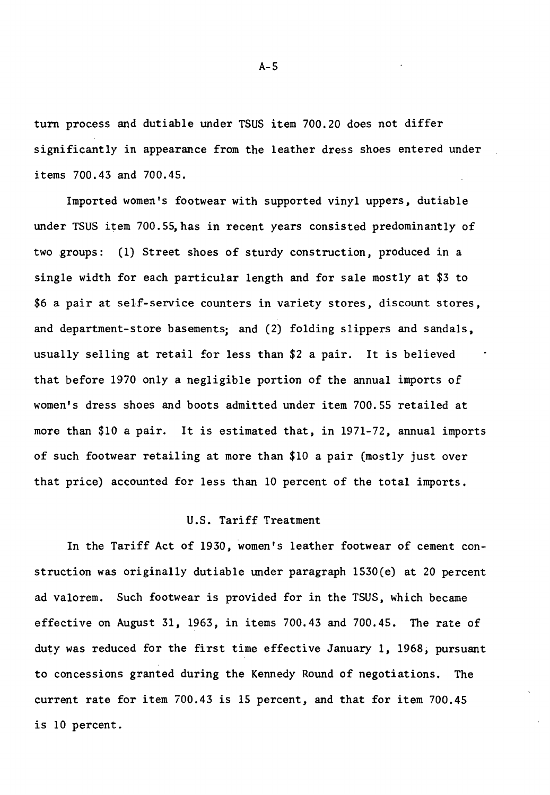turn process and dutiable under TSUS item 700.20 does not differ significantly in appearance from the leather dress shoes entered under items 700.43 and 700.45.

Imported women's footwear with supported vinyl uppers, dutiable under TSUS item 700.55,has in recent years consisted predominantly of two groups: (1) Street shoes of sturdy construction, produced in a single width for each particular length and for sale mostly at \$3 to \$6 a pair at self-service counters in variety stores, discount stores, and department-store basements; and (2) folding slippers and sandals, usually selling at retail for less than \$2 a pair. It is believed that before 1970 only a negligible portion of the annual imports of women's dress shoes and boots admitted under item 700.55 retailed at more than \$10 a pair. It is estimated that, in 1971-72, annual imports of such footwear retailing at more than \$10 a pair (mostly just over that price) accounted for less than 10 percent of the total imports.

#### U.S. Tariff Treatment

In the Tariff Act of 1930, women's leather footwear of cement construction was originally dutiable under paragraph 1530(e) at 20 percent ad valorem. Such footwear is provided for in the TSUS, which became effective on August 31, 1963, in items 700.43 and 700.45. The rate of duty was reduced for the first time effective January 1, 1968; pursuant to concessions granted during the Kennedy Round of negotiations. The current rate for item 700.43 is 15 percent, and that for item 700.45 is 10 percent.

 $A - 5$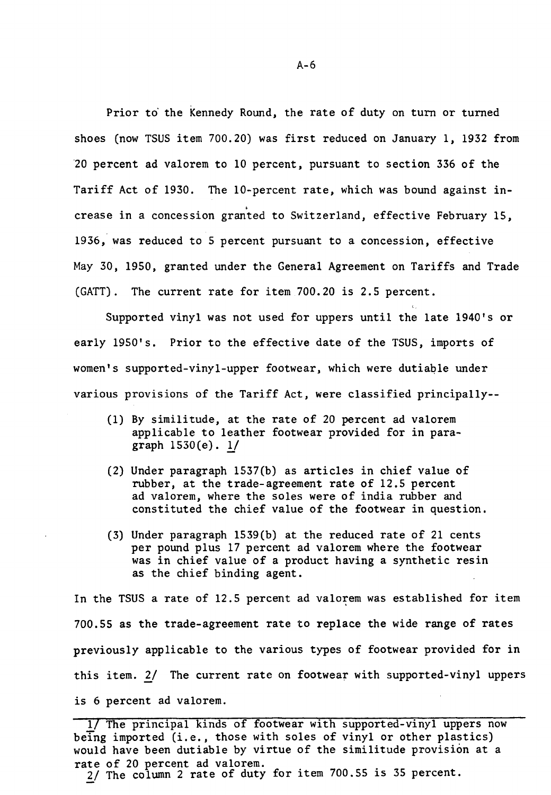Prior to the Kennedy Round, the rate of duty on turn or turned shoes (now TSUS item 700.20) was first reduced on January 1, 1932 from 20 percent ad valorem to 10 percent, pursuant to section 336 of the Tariff Act of 1930. The 10-percent rate, which was bound against in- . crease in a concession granted to Switzerland, effective February 15, 1936, was reduced to 5 percent pursuant to a concession, effective May 30, 1950, granted under the General Agreement on Tariffs and Trade (GATT). The current rate for item 700.20 is 2.5 percent.

Supported vinyl was not used for uppers until the late 1940's or early 1950's. Prior to the effective date of the TSUS, imports of women's supported-vinyl-upper footwear, which were dutiable under various provisions of the Tariff Act, were classified principally--

- (1) By similitude, at the rate of 20 percent ad valorem applicable to leather footwear provided for in paragraph 1530(e). *'}!*
- (2) Under paragraph 1537(b) as articles in chief value of rubber, at the trade-agreement rate of 12.5 percent ad valorem, where the soles were of india rubber and constituted the chief value of the footwear in question.
- (3) Under paragraph 1539(b) at the reduced rate of 21 cents per pound plus 17 percent ad valorem where the footwear was in chief value of a product having a synthetic resin as the chief binding agent.

In the TSUS a rate of 12.5 percent ad valorem was established for item 700.55 as the trade-agreement rate to replace the wide range of rates previously applicable to the various types of footwear provided for in this item.  $2/$  The current rate on footwear with supported-vinyl uppers is 6 percent ad valorem.

1/ The principal kinds of footwear with supported-vinyl uppers now being imported (i.e., those with soles of vinyl or other plastics) would have been dutiable by virtue of the similitude provision at a rate of 20 percent ad valorem.<br>2. The column 2 rate of duty for item 700.55 is 35 percent.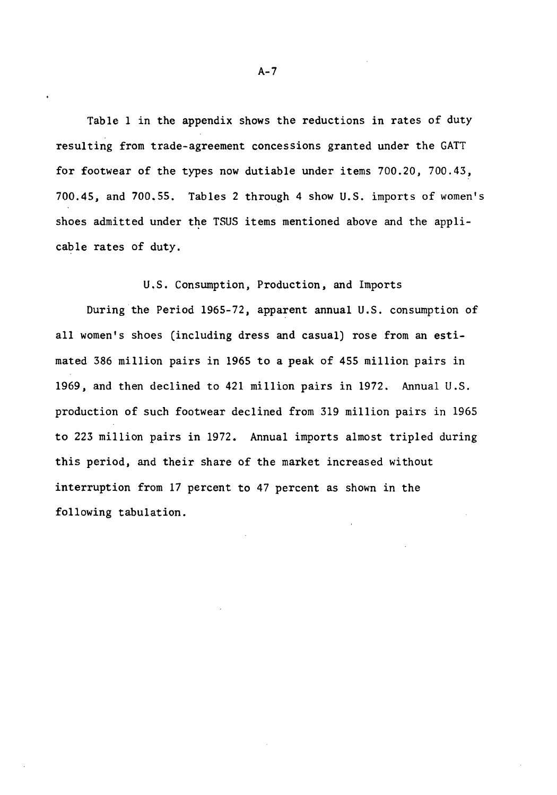Table 1 in the appendix shows the reductions in rates of duty resulting from trade-agreement concessions granted under the GATT for footwear of the types now dutiable under items 700.20, 700.43, 700.45, and 700.55. Tables 2 through 4 show U.S. imports of women's shoes admitted under the TSUS items mentioned above and the applicable rates of duty.

U.S. Consumption, Production, and Imports

During the Period 1965-72, apparent annual U.S. consumption of all women's shoes (including dress and casual) rose from an estimated 386 million pairs in 1965 to a peak of 455 million pairs in 1969, and then declined to 421 million pairs in 1972. Annual U.S. production of such footwear declined from 319 million pairs in 1965 to 223 million pairs in 1972. Annual imports almost tripled during this period, and their share of the market increased without interruption from 17 percent to 47 percent as shown in the following tabulation.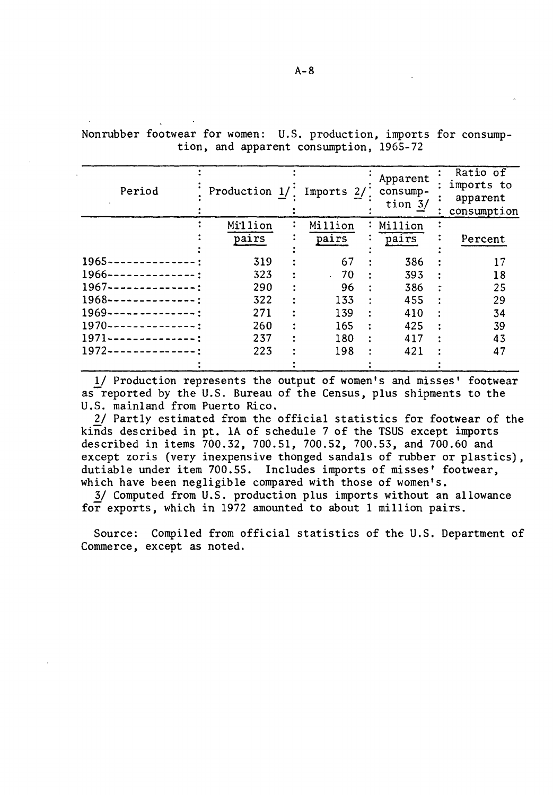| Period                    | Production $1/$ . | Imports 2/           | Apparent<br>consump-<br>tion $3/$ | Ratio of<br>imports to<br>apparent<br>consumption |
|---------------------------|-------------------|----------------------|-----------------------------------|---------------------------------------------------|
|                           | Million           | Million<br>$\bullet$ | Million                           |                                                   |
|                           | pairs             | pairs                | pairs                             | Percent                                           |
| 1965~                     | 319               | 67                   | 386                               | 17                                                |
| $1966 -$<br>-----------   | 323               | 70                   | 393                               | 18                                                |
| $1967$ -------------      | 290<br>٠          | 96                   | 386                               | 25                                                |
| $1968--$<br>-----------   | 322<br>٠          | 133                  | 455                               | 29                                                |
| 1969-<br>--------         | 271               | 139                  | 410                               | 34                                                |
| $1970 - -$<br>----------- | 260<br>٠          | 165                  | 425                               | 39                                                |
| $1971$ --------------     | 237               | 180                  | 417                               | 43                                                |
| $1972$ -------------      | 223               | 198                  | 421                               | 47                                                |
|                           |                   |                      |                                   |                                                   |

Nonrubber footwear for women: U.S. production, imports for consumption, and apparent consumption, 1965-72

1/ Production represents the output of women's and misses' footwear as reported by the U.S. Bureau of the Census, plus shipments to the U.S. mainland from Puerto Rico.

2/ Partly estimated from the official statistics for footwear of the kinds described in pt. lA of schedule 7 of the TSUS except imports described in items 700.32, 700.51, 700.52, 700.53, and 700.60 and except zoris (very inexpensive thonged sandals of rubber or plastics), dutiable under item 700.55. Includes imports of misses' footwear, which have been negligible compared with those of women's.

3/ Computed from U.S. production plus imports without an allowance for exports, which in 1972 amounted to about 1 million pairs.

Source: Compiled from official statistics of the U.S. Department of Commerce, except as noted.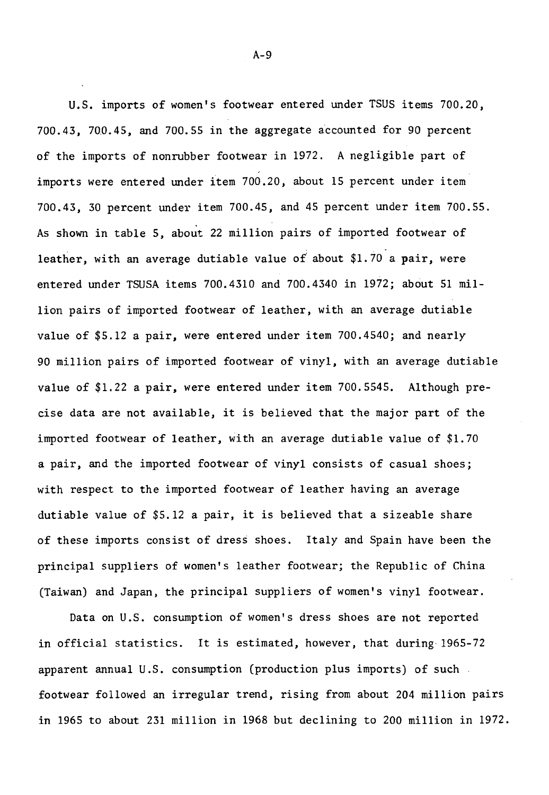U.S. imports of women's footwear entered under TSUS items 700.20, 700. 43, 70.0. 45, and 700. 55 in the aggregate accounted for 90 percent of the imports of nonrubber footwear in 1972. A negligible part of imports were entered under item 700.20, about 15 percent under item 700.43, 30 percent under item 700.45, and 45 percent under item 700.55. As shown in table 5, about 22 million pairs of imported footwear of leather, with an average dutiable value of about \$1.70 a pair, were entered under TSUSA items 700.4310 and 700.4340 in 1972; about 51 million pairs of imported footwear of leather, with an average dutiable value of \$5.12 a pair, were entered under item 700.4540; and nearly 90 million pairs of imported footwear of vinyl, with an average dutiable value of \$1.22 a pair, were entered under item 700.5545. Although precise data are not available, it is believed that the major part of the imported footwear of leather, with an average dutiable value of \$1. 70 a pair, and the imported footwear of vinyl consists of casual shoes; with respect to the imported footwear of leather having an average dutiable value of \$5.12 a pair, it is believed that a sizeable share of these imports consist of dress shoes. Italy and Spain have been the principal suppliers of women's leather footwear; the Republic of China (Taiwan) and Japan, the principal suppliers of women's vinyl footwear.

Data on U.S. consumption of women's dress shoes are not reported in official statistics. It is estimated, however, that during 1965-72 apparent annual U.S. consumption (production plus imports) of such footwear followed an irregular trend, rising from about 204 million pairs in 1965 to about 231 million in 1968 but declining to 200 million in 1972.

A-9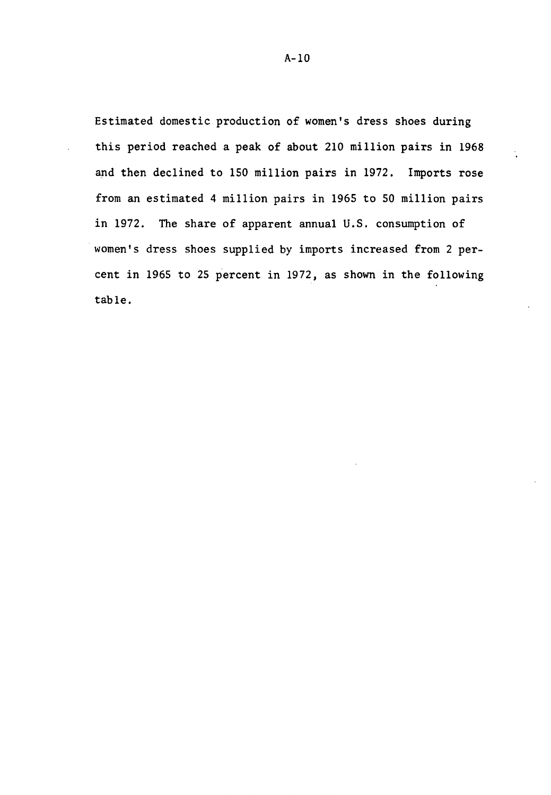Estimated domestic production of women's dress shoes during this period reached a peak of about 210 million pairs in 1968 and then declined to 150 million pairs in 1972. Imports rose from an estimated 4 million pairs in 1965 to 50 million pairs in 1972. The share of apparent annual U.S. consumption of women's dress shoes supplied by imports increased from 2 percent in 1965 to 25 percent in 1972, as shown in the following table.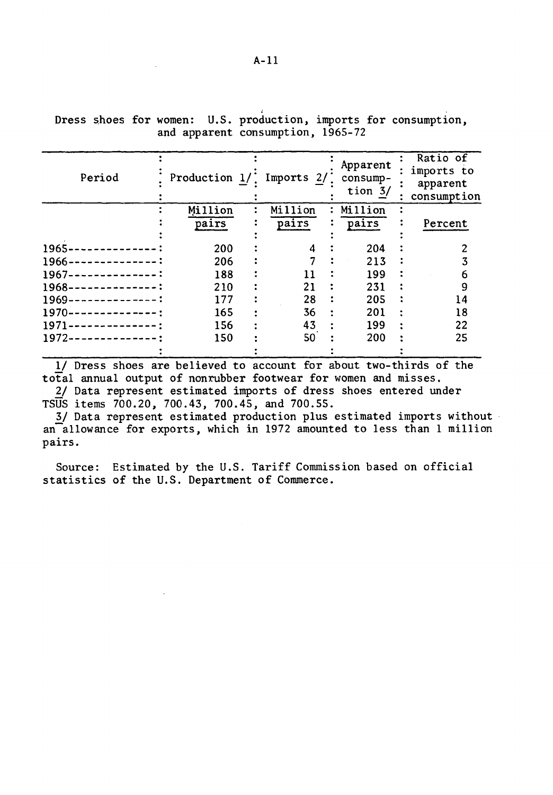| Period               | Production 1/: Imports 2/ |         | Apparent<br>consump-<br>tion $3/$ | Ratio of<br>imports to<br>apparent<br>consumption |
|----------------------|---------------------------|---------|-----------------------------------|---------------------------------------------------|
|                      | Million                   | Million | Million<br>$\ddot{\phantom{a}}$   |                                                   |
|                      | pairs                     | pairs   | pairs                             | Percent                                           |
|                      |                           |         |                                   |                                                   |
| 1965.                | 200                       |         | 204                               |                                                   |
| 1966                 | 206                       |         | 213                               |                                                   |
| 1967-                | 188                       |         | 199                               |                                                   |
| 1968-                | 210                       | 21      | 231                               | 9                                                 |
| 1969-                | 177                       | 28      | 205                               | 14                                                |
| 1970-                | 165                       | 36      | 201                               | 18                                                |
| 1971                 | 156                       | 43      | 199                               | 22                                                |
| $1972 -$<br>-------- | 150                       | 50      | 200                               | 25                                                |
|                      |                           |         |                                   |                                                   |

Dress shoes for women: U.S. production, imports for consumption, and apparent consumption, 1965-72

1/ Dress shoes are believed to account for about two-thirds of the total annual output of nonrubber footwear for women and misses. 2/ Data represent estimated imports of dress shoes entered under

TSUS items 700.20, 700.43, 700.45, and 700.55.<br>3/ Data represent estimated production plus estimated imports without an allowance for exports, which in 1972 amounted to less than 1 million pairs.

Source: Estimated by the U.S. Tariff Commission based on official statistics of the U.S. Department of Commerce.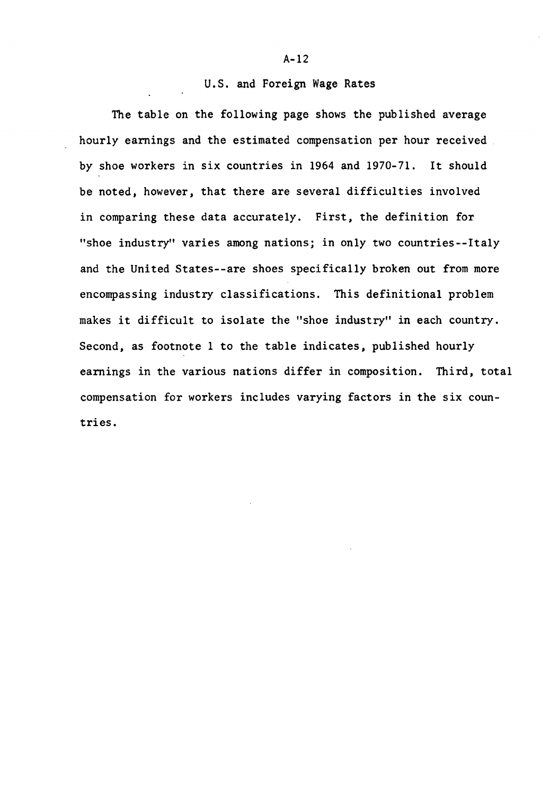#### U.S. and Foreign Wage Rates

The table on the following page shows the published average hourly earnings and the estimated compensation per hour received by shoe workers in six countries in 1964 and 1970-71. It should be noted, however, that there are several difficulties involved in comparing these data accurately. First, the definition for "shoe industry" varies among nations; in only two countries--Italy and the United States--are shoes specifically broken out from more encompassing industry classifications. This definitional problem makes it difficult to isolate the "shoe industry" in each country. Second, as footnote 1 to the table indicates, published hourly earnings in the various nations differ in composition. Third, total compensation for workers includes varying factors in the six countries.

#### $A - 12$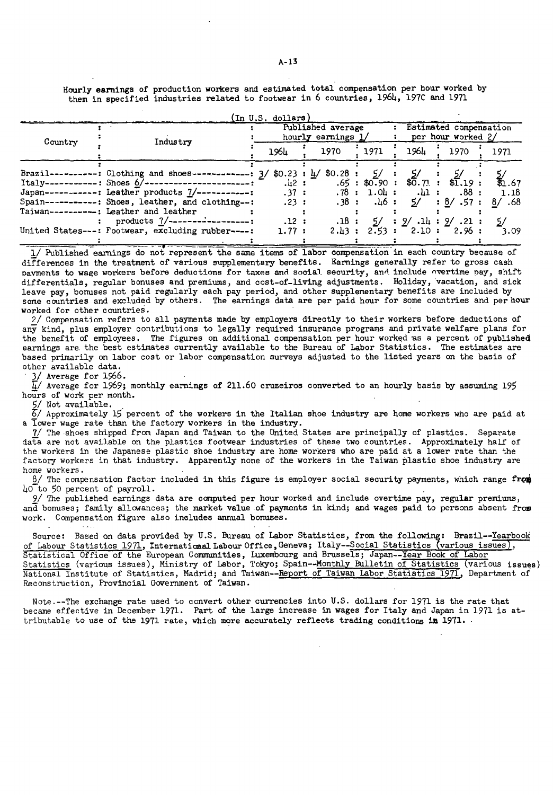Hourly earnings of production workers and estimated total compensation per hour worked by them in specified industries related to footwear in 6 countries, 1964, 197C and 1971

|         |                                                                                         | (In U.S. dollars) |                                         |                |                                              |                                                                                      |              |  |
|---------|-----------------------------------------------------------------------------------------|-------------------|-----------------------------------------|----------------|----------------------------------------------|--------------------------------------------------------------------------------------|--------------|--|
| Country | Industry                                                                                |                   | Published average<br>hourly earnings 1/ |                | Estimated compensation<br>per hour worked 2/ |                                                                                      |              |  |
|         |                                                                                         | 1964              | 1970                                    | 1971           | 196L                                         | 1970                                                                                 | 1971         |  |
|         | Brazil----------: Clothing and shoes-------------: $3/$ \$0.23 : $\frac{1}{2}$ \$0.28 : |                   |                                         | 5/             |                                              | $\frac{5}{1.19}$ :                                                                   | 5/<br>\$1.67 |  |
|         | Italy-----------: Shoes $6$ /----------------------:                                    | .42 :             |                                         | .65 : \$0.90 : | $$0.71$ :                                    |                                                                                      |              |  |
|         | Japan------------: Leather products 7/------------:                                     | .37:              |                                         |                |                                              | .78: 1.04: 11: 88:                                                                   | 1.18         |  |
|         | Spain-----------: Shoes, leather, and clothing--:                                       | .23:              | .38:                                    | .46 :          | 5/                                           | : 8/ .57                                                                             | 8/0.68       |  |
|         | Taiwan----------: Leather and leather                                                   |                   |                                         |                |                                              |                                                                                      |              |  |
|         | products $7/$ -----------------:                                                        | .12:              |                                         |                |                                              |                                                                                      | 5/           |  |
|         | United States---: Footwear, excluding rubber----:                                       | 1.77:             |                                         |                |                                              | $.18 : \frac{5}{7} : \frac{9}{.14} : \frac{9}{.21} :$<br>2.43 : 2.53 : 2.10 : 2.96 : | 3.09         |  |
|         |                                                                                         |                   |                                         |                |                                              |                                                                                      |              |  |

1/ Published earnings do not represent the same items of labor compensation in each country because of differences in the treatment of various supplementary benefits. Earnings generally refer to gross cash payments to wage workers before deductions for taxes and social security, and include overtime pay, shift differentials, regular bonuses and premiums, and cost-of-living adjustments. Holiday, vacation, and sick<br>leave pay, bonuses not paid regularly each pay period, and other supplementary benefits are included by some countries and excluded by others. The earnings data are per paid hour for some countries and per hour worked for other countries.

2/ Compensation refers to all payments made by employers directly to their workers before deductions of any kind, plus employer contributions to legally required insurance programs and private welfare plans for the benefit of employees. The figures on additional compensation per hour worked as a percent of published earnings are. the best estimates currently available to the Bureau of Labor Statistics. The estimates are based primarily on labor cost or labor compensation surveys adjusted to the listed years on the basis of other available data.

*31* Average for 1966.

 $\tilde{\rm h}$ / Average for 1969; monthly earnings of 211.60 cruzeiros converted to an hourly basis by assuming 195 hours of work per month.

5/ Not available.<br>  $\frac{5}{7}$  Approximately 15 percent of the workers in the Italian shoe industry are home workers who are paid at<br>
a lower wage rate than the factory workers in the industry.

1f The .shoes shipped from Japan and Taiwan to the United States are principally of plastics. Separate data are not available on the plastics footwear industries of these two countries. Approximately half of the workers in the Japanese plastic shoe industry are home workers who are paid at a lower rate than the factory workers in that industry. Apparently none of the workers in the Taiwan plastic shoe industry are home workers.

8/ The compensation factor included in this figure is employer social security payments, which range from 40 to 50 percent of payroll.

9/ The published earnings data are computed per hour worked and include overtime pay, regular premiums, and bonuses; family allowances; the market value of payments in kind; and wages paid to persons absent from work. Compensation figure also includes annual bonuses.

Source: Based on data provided by U.S. Bureau of Labor Statistics, from the following: Brazil--Yearbook of Labour Statistics 1971, International Labour Office, Geneva; Italy--Social Statistics various issues *,*  Statistical Office of the European Communities, Luxembourg and Brussels; Japan--Year Book of Labor Statistics (various issues), Ministry of Labor, Tokyo; Spain--Monthly Bulletin of Statistics (various issues) National Institute of Statistics, Madrid; and Taiwan--Report of Taiwan Labor Statistics 1971, Department of Reconstruction, Provincial Government of Taiwan.

Note.--The exchange rate used to convert other currencies into U.S. dollars for 1971 is the rate that became effective in December 1971. Part of the large increase in wages for Italy and Japan in 1971 is attributable to use of the 1971 rate, which more accurately reflects trading conditions **in** 1971.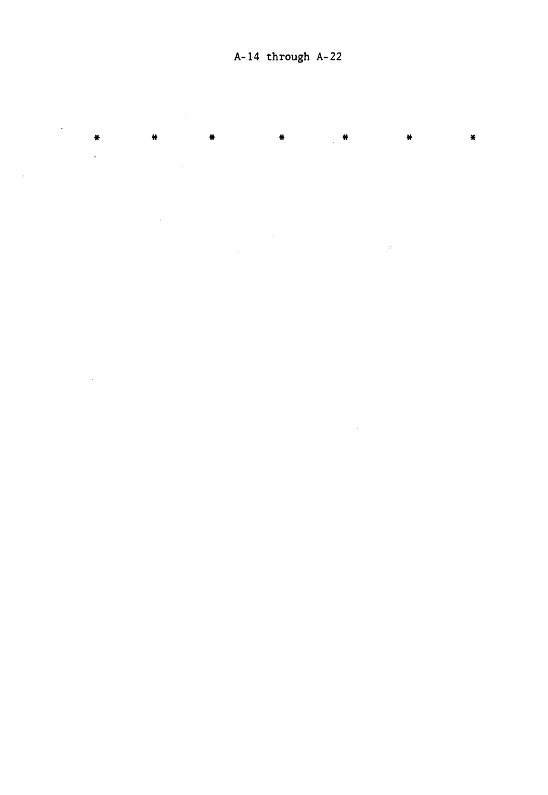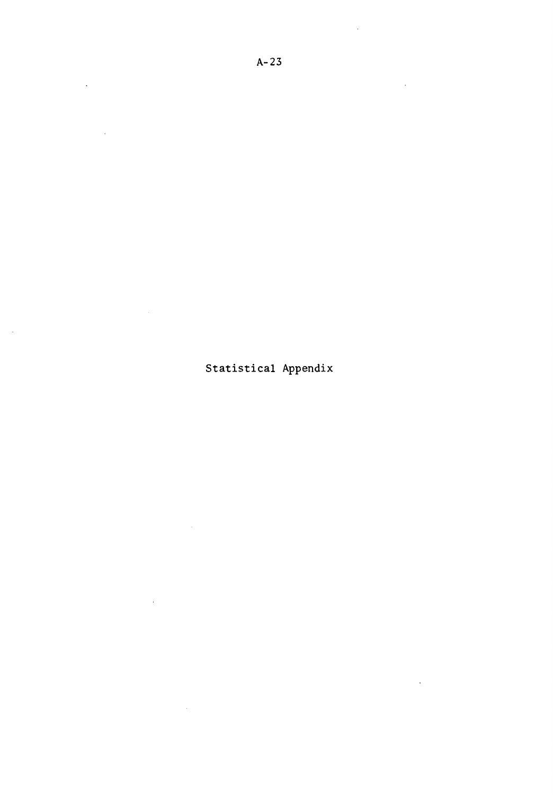# Statistical Appendix

 $\sim$ 

 $\mathcal{A}$ 

A-23

 $\bar{\mathcal{A}}$ 

J.

 $\ddot{\phantom{a}}$ 

l,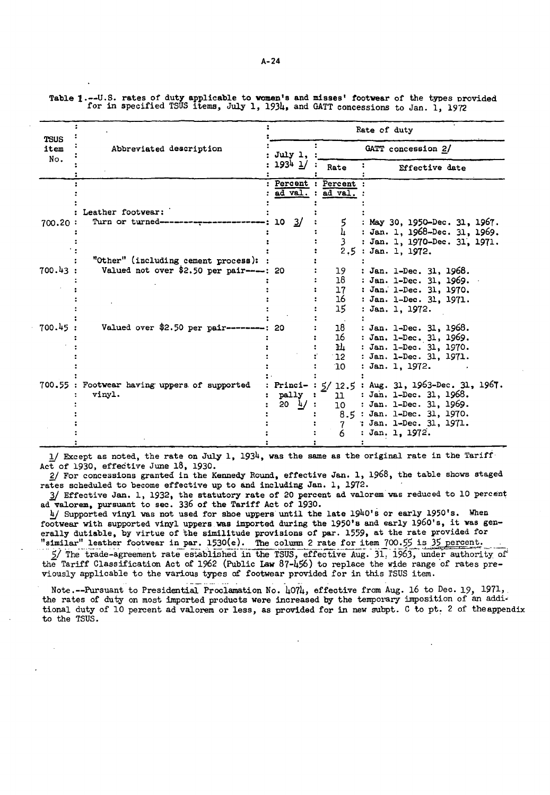| <b>TSUS</b> |                                                                                |                               | Rate of duty                            |                                                                                                                                                                                                |  |  |  |  |
|-------------|--------------------------------------------------------------------------------|-------------------------------|-----------------------------------------|------------------------------------------------------------------------------------------------------------------------------------------------------------------------------------------------|--|--|--|--|
| item<br>No. | Abbreviated description                                                        | July 1.                       | GATT concession 2/                      |                                                                                                                                                                                                |  |  |  |  |
|             |                                                                                | $1934 \underline{1}$ :        | Rate                                    | Effective date                                                                                                                                                                                 |  |  |  |  |
|             |                                                                                | ad val.                       | Percent : Percent<br>$: $ ad $val.$     |                                                                                                                                                                                                |  |  |  |  |
| 700.20:     | : Leather footwear:<br>Turn or turned------                                    | 10<br>3/                      | 5.<br>h.                                | : May 30, 1950-Dec. 31, 1967.<br>: Jan. 1, 1968-Dec. 31, 1969.<br>: Jan. 1, 1970-Dec. 31, 1971.<br>$2.5:$ Jan. 1, 1972.                                                                        |  |  |  |  |
| 700.43:     | "Other" (including cement process):<br>Valued not over \$2.50 per pair----: 20 |                               | 19<br>18<br>17 <sup>7</sup><br>16<br>15 | : Jan. 1-Dec. 31, 1968.<br>: Jan. 1-Dec. 31, 1969.<br>: Jan. 1-Dec. 31, 1970.<br>: Jan. 1-Dec. 31, 1971.<br>: Jan. 1, 1972.                                                                    |  |  |  |  |
| 700.45:     | Valued over \$2.50 per pair--------: 20                                        |                               | 18<br>16<br>34 L<br>12<br>$10^{\circ}$  | : Jan. 1-Dec. 31, 1968.<br>: Jan. 1-Dec. 31, 1969.<br>: Jan. 1-Dec. 31, 1970.<br>: Jan. 1-Dec. 31, 1971.<br>: Jan. 1, 1972.                                                                    |  |  |  |  |
|             | 700.55: Footwear having uppers of supported<br>vinyl.                          | pally :<br>$20 \frac{1}{2}$ : | 11<br>$10 -$<br>6.                      | Princi-: $\frac{1}{2}$ / 12.5: Aug. 31, 1963-Dec. 31, 1967.<br>: Jan. 1-Dec. 31, 1968.<br>: Jan. 1-Dec. 31, 1969.<br>8.5 : Jan. 1-Dec. 31, 1970.<br>: Jan. 1-Dec. 31, 1971.<br>: Jan. 1, 1972. |  |  |  |  |

Table 1.--U.S. rates of duty applicable to women's and misses' footwear of the types provided for in specified TSUS items, July 1, 1934, and GATT concessions to Jan. 1, 1972

 $1/$  Except as noted, the rate on July 1, 193<sup>1</sup>, was the same as the original rate in the Tariff Act of 1930, effective June 18, 1930.

2/ For conceasions granted in the Kennedy Round, effective Jan. 1, 1968, the table shows staged rates scheduled to become effective up to and including Jan. 1, 1972.

 $\frac{3}{2}$  Effective Jan. 1, 1932, the statutory rate of 20 percent ad valorem was reduced to 10 percent ad valorem, pursuant to sec. 336 of the Tariff Act of 1930.

4/ Supported vinyl was not used for shoe uppers until the late 1940's or early 1950's. When footwear with supported vinyl uppers was imported during the 1950's and early 1960's, it was generally dutiable, by virtue of the similitude provisions of par. 1559, at the rate provided for "similar" leather footwear in par. 1530(e). The column 2 rate for item  $700.55$  is  $35$  percent.

 $\frac{5}{7}$  The trade-agreement rate established in the TSUS, effective Aug. 31, 1963, under authority of the Tariff Classification Act of 1962 (Public Law 87-456) to replace the wide range of rates previously applicable to the various types of footwear provided for in this ISUS item.

Note .--Pursuant to Presidential Proclamation No. 4074, effective from Aug. 16 to Dec. 19, 1971,. the rates of duty on most imported products were increased by the temporary imposition of an addi• tional duty of 10 percent ad valorem or less, as provided for in new subpt. C to pt. 2 of the appendix to the TSUS.

A-24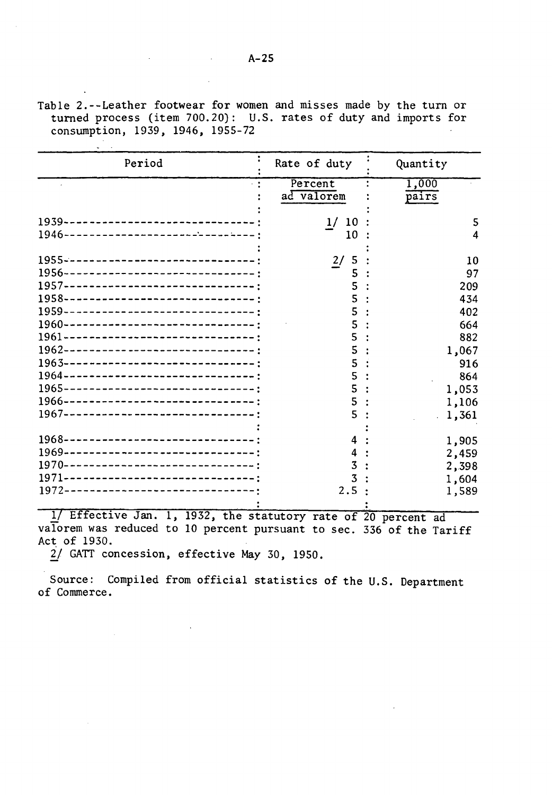| Period                                                                                                                   | Rate of duty              | Quantity                    |
|--------------------------------------------------------------------------------------------------------------------------|---------------------------|-----------------------------|
|                                                                                                                          | Percent<br>ad valorem     | $\overline{1,000}$<br>pairs |
| 1939----------------------------------<br>1946-------------------------------                                            | 10<br>1/<br>10            | 5                           |
| 1955----------------------------------<br>1956---------------------------------<br>1957--------------------------------- | 5<br>$\frac{2}{\pi}$<br>5 | 10<br>97                    |
| 1958----------------------------------<br>1959--------------------------------                                           | 5<br>5<br>5               | 209<br>434<br>402           |
| 1960--------------------------------<br>1961---------------------------------<br>1962----------------------------------  | 5<br>5<br>5               | 664<br>882<br>1,067         |
| 1963-------------------------------<br>1964--------------------------------<br>1965--------------------------------      | 5<br>5<br>5               | 916<br>864                  |
| 1966-------------------------------<br>1967--------------------------------                                              | 5<br>5                    | 1,053<br>1,106<br>1,361     |
| 1968----------------------------------<br>1969--------------------------------<br>1970-------------------------------    | 4<br>4<br>3               | 1,905<br>2,459              |
| 1971--------------------------------<br>1972--------------------------------                                             | 3<br>2.5                  | 2,398<br>1,604<br>1,589     |
| $\overline{\phantom{a}}$                                                                                                 |                           |                             |

Table 2.--Leather footwear for women and misses made by the turn or turned process (item 700.20): U.S. rates of duty and imports for consumption, 1939, 1946, 1955-72

 $\mathcal{L}^{\text{max}}$ 

1/ Effective Jan. 1, 1932, the statutory rate of 20 percent ad vaTorem was reduced to 10 percent pursuant to sec. 336 of the Tariff Act of 1930.

2/ GATT concession, effective May 30, 1950.

 $\sim 10$ 

Source: Compiled from official statistics of the U.S. Department of Commerce.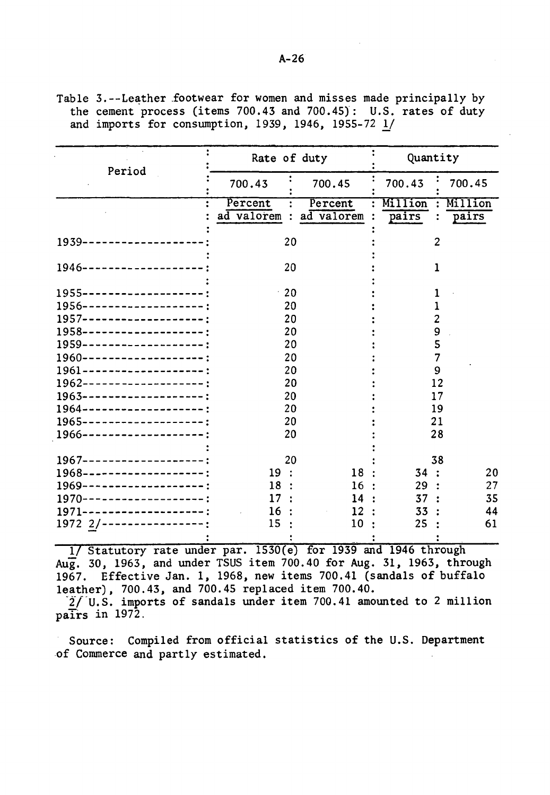|                                      | Rate of duty          |                       | Quantity         |                  |  |
|--------------------------------------|-----------------------|-----------------------|------------------|------------------|--|
| Period                               | 700.43                | 700.45                | 700.43           | 700.45           |  |
|                                      | Percent<br>ad valorem | Percent<br>ad valorem | Million<br>pairs | Million<br>pairs |  |
| $1939 - -$<br>-----------------      | 20                    |                       | 2                |                  |  |
| 1946--------------------             | 20                    |                       |                  |                  |  |
| 1955--------------------:            | $-20$                 |                       |                  |                  |  |
| 1956---------------------            | 20                    |                       |                  |                  |  |
| 1957---------------------            | 20                    |                       |                  |                  |  |
| 1958--------------------:            | 20                    |                       | 9                |                  |  |
| 1959--------------------             | 20                    |                       | 5                |                  |  |
| $1960$ -------------------:          | 20                    |                       |                  |                  |  |
| 1961---------------------            | 20                    |                       | 9                |                  |  |
| 1962---------------------            | 20                    |                       | 12               |                  |  |
| 1963--------------------             | 20                    |                       | 17               |                  |  |
| 1964---------------------            | 20                    |                       | 19               |                  |  |
| 1965--------------------:            | 20                    |                       | 21               |                  |  |
| 1966---------------------            | 20                    |                       | 28               |                  |  |
|                                      |                       |                       |                  |                  |  |
| $1967$ ---------------------         | 20                    |                       | 38               |                  |  |
| 1968---------------------            | 19:                   | 18                    | 34               | 20               |  |
| 1969--------------------:            | 18 :                  | 16                    | 29:              | 27               |  |
| 1970--------------------:            | 17                    | 14                    | 37               | 35               |  |
| $1971 - - - - - - - - - - - - - - -$ | 16                    | 12                    | 33               | 44               |  |
| $1972$ 2/-----------------           | 15                    | 10                    | 25               | 61               |  |
|                                      |                       |                       |                  |                  |  |

Table 3.--Leather footwear for women and misses made principally by the cement process (items 700.43 and 700.45): U.S. rates of duty and imports for consumption, 1939, 1946, 1955-72 !/

1/ Statutory rate under par. 1530(e) for 1939 and 1946 through Aug. 30, 1963, and under TSUS item 700.40 for Aug. 31, 1963, through 1967. Effective Jan. 1, 1968, new items 700.41 (sandals of buffalo leather), 700.43, and 700.45 replaced item 700.40.

 $2/$ U.S. imports of sandals under item 700.41 amounted to 2 million pairs in 1972.

Source: Compiled from official statistics of the U.S. Department of Commerce and partly estimated.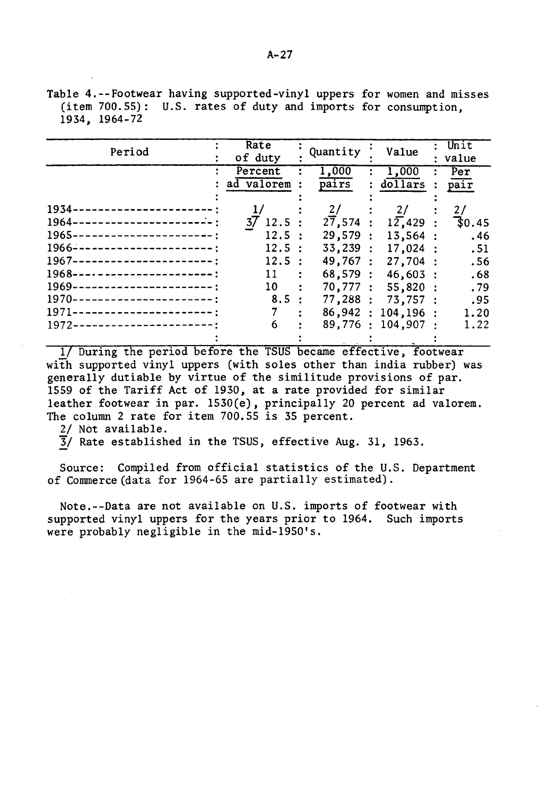| Table 4.--Footwear having supported-vinyl uppers for women and misses |  |  |  |  |  |
|-----------------------------------------------------------------------|--|--|--|--|--|
| (item 700.55): U.S. rates of duty and imports for consumption,        |  |  |  |  |  |
| 1934, 1964–72                                                         |  |  |  |  |  |

| Period                                   | Rate<br>of duty | Quantity | Value                      | Unit<br>value    |
|------------------------------------------|-----------------|----------|----------------------------|------------------|
|                                          | Percent         | 1,000    | 1,000                      | $\overline{Per}$ |
|                                          | ad valorem      | pairs    | dollars                    | pair             |
|                                          |                 |          |                            |                  |
| $1934 - - - - - - - - - - -$             |                 | 2/       | 2/                         | 27               |
| 1964-------------------------            | 37<br>$12.5$ :  | 27,574   | 12,429                     | \$0.45           |
| 1965-<br>------------------ <sup>.</sup> | 12.5:           | 29,579 : | 13,564 :                   | .46              |
| 1966-----------------------;             | 12.5:           | 33,239:  | 17,024:                    | .51              |
| $1967--$<br>---------------------        | 12.5:           | 49,767 : | 27,704 :                   | .56              |
| $1968 - -$                               | 11              | 68,579 : | 46,603:                    | .68              |
| 1969------------------------:            | 10              | 70,777:  | 55,820:                    | .79              |
| 1970-<br>-------------------             | 8.5             | 77,288:  | 73,757 :                   | .95              |
| 1971------------------------             | 7.              | 86,942   | 104.196:<br>$\ddot{\cdot}$ | 1.20             |
| $1972 -$<br>---------------------        | 6               | 89,776:  | 104,907:                   | 1.22             |
|                                          |                 |          |                            |                  |

1/ During the period before the TSUS became effective, footwear with supported vinyl uppers (with soles other than india rubber) was generally dutiable by virtue of the similitude provisions of par. 1559 of the Tariff Act of 1930, at a rate provided for similar leather footwear in par. 1530(e), principally 20 percent ad valorem. The column 2 rate for item 700.55 is 35 percent.<br>2/ Not available.

 $\overline{3}$ / Rate established in the *TSUS*, effective Aug. 31, 1963.

Source: Compiled from official statistics of the U.S. Department of Commerce(data for 1964-65 are partially estimated).

Note.--Data are not available on U.S. imports of footwear with supported vinyl uppers for the years prior to 1964. Such imports were probably negligible in the mid-1950's.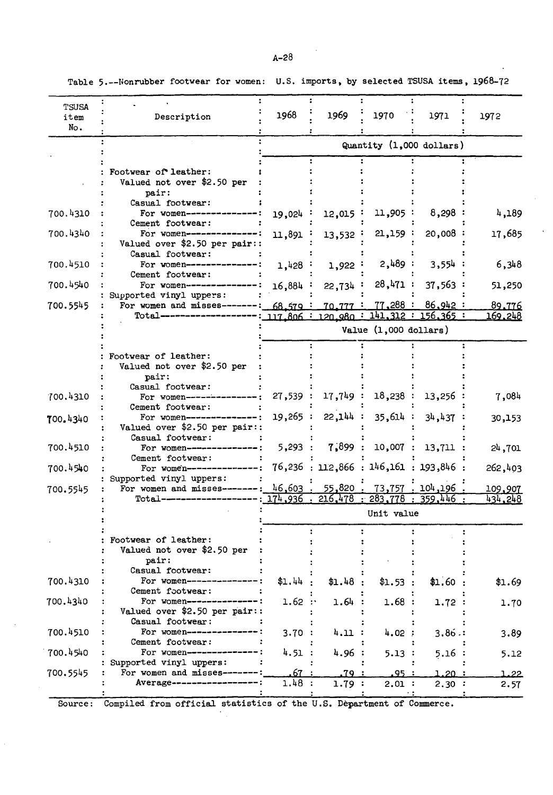| TSUSA<br>item<br>No. | Description                           | 1968            | 1969                     | 1970                      | 1971                                        | 1972           |
|----------------------|---------------------------------------|-----------------|--------------------------|---------------------------|---------------------------------------------|----------------|
|                      |                                       |                 | Quantity (1,000 dollars) |                           |                                             |                |
|                      |                                       |                 |                          |                           |                                             |                |
|                      | Footwear of leather:                  |                 |                          |                           |                                             |                |
|                      | Valued not over \$2.50 per            |                 |                          |                           |                                             |                |
|                      | pair:                                 |                 |                          |                           |                                             |                |
|                      | Casual footwear:                      |                 |                          |                           |                                             |                |
| 700.4310             | For women--<br>Cement footwear:       | 19,024          | 12,015                   | 11,905:                   | 8,298                                       | 4,189          |
| 700.4340             | For women--------------:              |                 |                          |                           | 20,008:                                     |                |
|                      | Valued over \$2.50 per pair::         | 11,891          | 13,532                   | 21,159:                   |                                             | 17,685         |
|                      | Casual footwear:                      |                 |                          |                           |                                             |                |
| 700.4510             | For women--------                     | 1,428           | 1,922                    | 2,489:                    | 3,554                                       | 6,348          |
|                      | Cement footwear:                      |                 |                          |                           |                                             |                |
| 700.4540             | For women--------------               | 16,884          | 22,734:                  | 28,471:                   | 37,563:                                     | 51,250         |
|                      | Supported vinyl uppers:               |                 |                          |                           |                                             |                |
| 700.5545             | For women and misses-------:          |                 |                          |                           | 68.579: 70.777: 77.288: 86.942:             | 89.776         |
|                      | Total---------                        |                 |                          |                           | $: 117.806 : 120.980 : 141.312 : 156.365 :$ | <u>169.248</u> |
|                      |                                       |                 |                          | Value (1,000 dollars)     |                                             |                |
|                      |                                       |                 |                          |                           |                                             |                |
|                      | Footwear of leather:                  |                 |                          |                           |                                             |                |
|                      | Valued not over \$2.50 per            |                 |                          |                           |                                             |                |
|                      | pair:                                 |                 |                          |                           |                                             |                |
|                      | Casual footwear:                      |                 |                          |                           |                                             |                |
| 700.4310             | For women--------------               | 27,539 :        |                          | 17,749: 18,238:           | 13,256 :                                    | 7,084          |
|                      | Cement footwear:                      |                 |                          |                           |                                             |                |
| 700.4340             | For women---------                    | 19,265:         | 22,144:                  | $35,614$ :                | 34,437:                                     | 30,153         |
|                      | Valued over \$2.50 per pair::         |                 |                          |                           |                                             |                |
| 700.4510             | Casual footwear:                      | 5,293:          | 7,899:                   | 10,007 :                  | 13,711 :                                    |                |
|                      | For women--<br>Cement footwear:       |                 |                          |                           |                                             | 24,701         |
| 700.4540             | For women--------------:              |                 |                          |                           | 76,236 : 112,866 : 146,161 : 193,846 :      | 262,403        |
|                      | Supported vinyl uppers:               |                 |                          |                           |                                             |                |
| 700.5545             | For women and misses-------: $16,603$ |                 |                          | 55,820 . 73,757 . 104,196 |                                             | 109,907        |
|                      | $Total-----$                          | : 174,936       |                          | $216,478$ : 283,778       | : 359,446                                   | 434,248        |
|                      |                                       |                 |                          |                           |                                             |                |
|                      |                                       |                 |                          | Unit value                |                                             |                |
|                      |                                       |                 |                          |                           |                                             |                |
|                      | Footwear of leather:                  |                 |                          |                           |                                             |                |
|                      | Valued not over \$2.50 per            |                 |                          |                           |                                             |                |
|                      | pair:                                 |                 |                          |                           |                                             |                |
|                      | Casual footwear:                      |                 |                          |                           |                                             |                |
| 700.4310             | For women---<br>Cement footwear:      | \$1.44:         | \$1.48                   | \$1.53:                   | \$1.60                                      | \$1.69         |
| 700.4340             | For women--------------:              | 1.62:           | 1.64:                    | 1.68:                     |                                             |                |
|                      | Valued over \$2.50 per pair::         |                 |                          |                           | 1.72:                                       | 1.70           |
|                      | Casual footwear:                      |                 |                          |                           |                                             |                |
| 700.4510             | For women----------                   | 3.70:           | 4.11 :                   | 4.02:                     | 3.86:                                       |                |
|                      | Cement footwear:                      |                 |                          |                           |                                             | 3.89           |
| 700.4540             | For women--------------:              | 4.51:           | 4.96:                    | 5.13:                     | 5.16                                        | 5.12           |
|                      | Supported vinyl uppers:               |                 |                          |                           |                                             |                |
| 700.5545             | For women and misses-------:          | <u>. 67   :</u> | .79:                     | .95:                      | 1.20:                                       | 1.22           |
|                      | Average-----------------:             | 1.48:           | 1.79:                    | 2.01:                     | 2.30:                                       | 2.57           |
|                      |                                       |                 |                          |                           |                                             |                |

Table 5.--Nonrubber footwear for women: U.S. imports, by selected TSUSA items, 1968-72

Source: Compiled from official statistics of the U.S. Department of Commerce.

#### A-28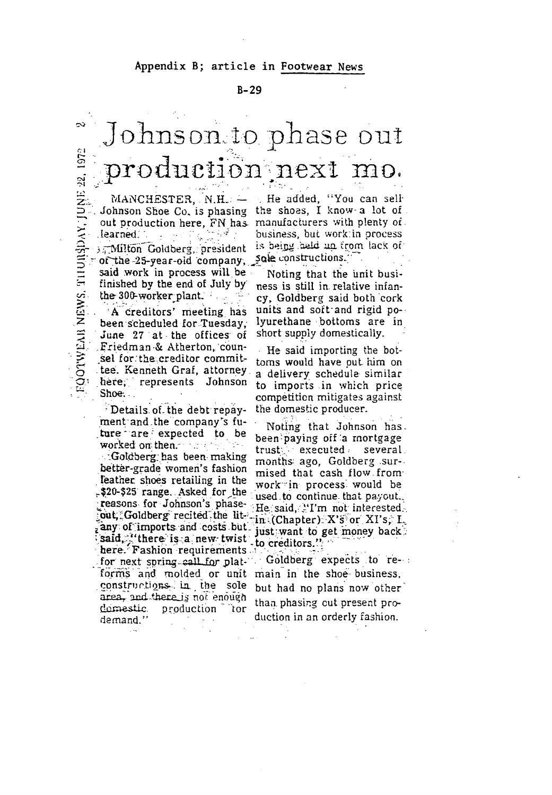B-29

# $\frac{1}{5}$  . Johnson to phase out<br>Function next mo.

said work in process will be *Noting that the unit busi-*<br>finished by the end of July by ness is still in relative infantinished by the end of July by<br>the 300-worker plant.

Example 10: The state of the state of the state of the state of the state of the state of the state of the state of the state of the state of the state is being and in come last of the state of the state of the state is b been scheduled for Tuesday, lyurethane bottoms are in June 27 at the offices of short supply domestically.  $~$  Friedman & Atherton, coun-<br> $~$  He said importing the bot-<br>sel for the creditor commit-<br>toms would have nut him on set for the creditor commit-<br>toms would have put him on<br>tee. Kenneth Graf, attorney. a delivery schedule similar

Details of the debt repay- the domestic producer. ment-and the company's fu-<br>ture are expected to be head powing off a reartance better-grade women's rasmon mised that cash flow from-<br>leather shoes retailing in the work-in process, would be . Feather shoes retaining in the work-in process, would be  $$20-$25$  range. Asked for the work to continue that parcul 320-325 range. Asked for the used to continue that payout. ' any or.imports. and costs -buL just :want to get inoney back~: :\_·said,:~~.'ther\_e·: i:>~a: n~\y: twist -to creditors.": , .. -- .-. - . . · here-.' Fashion requirements . ; . · · \_. .. · \_: ~ -0 . .• . . . .. for next spring sall for platforms and molded or unit main in the shoe business, rightly and moded or unit main in the shoe business,<br>constructions. in, the sole but had no plans now other<br>area, and there is not enough than phasing out present pro-<br>domestic. production for duction in an orderly fashion constructions. In the sole but had no plans now other<br>area, and there is not enough than phasing cut present pro-<br>demand." duction in an orderly fashion.

 $MANCEESTER,  $N.H. = 1$ . He added, "You can sell$ Johnson Shoe Co. is phasing the shoes, I know-a lot of out production here, FN has manufacturers with plenty of learned. business, but work: in process  $\frac{1}{2}$  Wilton Coldberg, president is being held un from lack of of the -25-year-oid company,  $\frac{5}{2}$  .

cy, Goldberg said both cork  $~\sim$  A creditors' meeting has units and soft-and rigid po-

here; represents Johnson to imports in which price Shoe. competition mitigates against

Lure are expected to be been paying off a mortgage<br>worked on then.<br>-- Goldberg has been making months: ago, Goldberg sur-. better-grade women's fashion mined, that each flow from : reasons for Johnson's phase- : He said, "I'm not interested;... rout;: Goldberg redited the lit--in: (Chapter). X's or XI's, I.